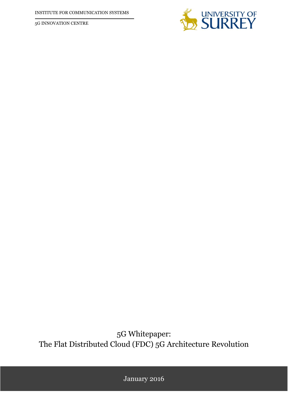

5G Whitepaper: The Flat Distributed Cloud (FDC) 5G Architecture Revolution

January 2016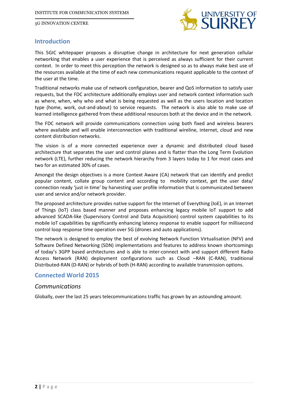

# **Introduction**

This 5GIC whitepaper proposes a disruptive change in architecture for next generation cellular networking that enables a user experience that is perceived as always sufficient for their current context. In order to meet this perception the network is designed so as to always make best use of the resources available at the time of each new communications request applicable to the context of the user at the time.

Traditional networks make use of network configuration, bearer and QoS information to satisfy user requests, but the FDC architecture additionally employs user and network context information such as where, when, why who and what is being requested as well as the users location and location type (home, work, out-and-about) to service requests. The network is also able to make use of learned intelligence gathered from these additional resources both at the device and in the network.

The FDC network will provide communications connection using both fixed and wireless bearers where available and will enable interconnection with traditional wireline, internet, cloud and new content distribution networks.

The vision is of a more connected experience over a dynamic and distributed cloud based architecture that separates the user and control planes and is flatter than the Long Term Evolution network (LTE), further reducing the network hierarchy from 3 layers today to 1 for most cases and two for an estimated 30% of cases.

Amongst the design objectives is a more Context Aware (CA) network that can identify and predict popular content, collate group content and according to mobility context, get the user data/ connection ready 'just in time' by harvesting user profile information that is communicated between user and service and/or network provider.

The proposed architecture provides native support for the Internet of Everything (IoE), in an Internet of Things (IoT) class based manner and proposes enhancing legacy mobile IoT support to add advanced SCADA-like (Supervisory Control and Data Acquisition) control system capabilities to its mobile IoT capabilities by significantly enhancing latency response to enable support for millisecond control loop response time operation over 5G (drones and auto applications).

The network is designed to employ the best of evolving Network Function Virtualisation (NFV) and Software Defined Networking (SDN) implementations and features to address known shortcomings of today's 3GPP based architectures and is able to inter-connect with and support different Radio Access Network (RAN) deployment configurations such as Cloud –RAN (C-RAN), traditional Distributed-RAN (D-RAN) or hybrids of both (H-RAN) according to available transmission options.

# **Connected World 2015**

# *Communications*

Globally, over the last 25 years telecommunications traffic has grown by an astounding amount.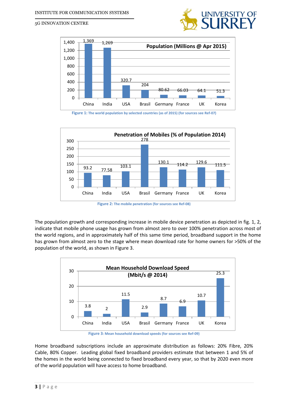



**Figure 1: The world population by selected countries (as of 2015) (for sources se[e Ref-07\)](#page-25-0)**



**Figure 2: The mobile penetration (for sources se[e Ref-08\)](#page-25-1)**

The population growth and corresponding increase in mobile device penetration as depicted in fig. 1, 2, indicate that mobile phone usage has grown from almost zero to over 100% penetration across most of the world regions, and in approximately half of this same time period, broadband support in the home has grown from almost zero to the stage where mean download rate for home owners for >50% of the population of the world, as shown in [Figure 3.](#page-2-0)



**Figure 3: Mean household download speeds (for sources se[e Ref-09\)](#page-25-2)**

<span id="page-2-0"></span>Home broadband subscriptions include an approximate distribution as follows: 20% Fibre, 20% Cable, 80% Copper. Leading global fixed broadband providers estimate that between 1 and 5% of the homes in the world being connected to fixed broadband every year, so that by 2020 even more of the world population will have access to home broadband.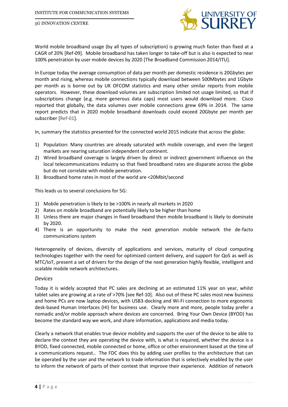

World mobile broadband usage (by all types of subscription) is growing much faster than fixed at a CAGR of 20% [Ref-09]. Mobile broadband has taken longer to take-off but is also is expected to near 100% penetration by user mobile devices by 2020 [The Broadband Commission 2014/ITU].

In Europe today the average consumption of data per month per domestic residence is 20Gbytes per month and rising, whereas mobile connections typically download between 500Mbytes and 1Gbyte per month as is borne out by UK OFCOM statistics and many other similar reports from mobile operators. However, these download volumes are subscription limited not usage limited, so that if subscriptions change (e.g. more generous data caps) most users would download more. Cisco reported that globally, the data volumes over mobile connections grew 69% in 2014. The same report predicts that in 2020 mobile broadband downloads could exceed 20Gbyte per month per subscriber [\[Ref-01\]](#page-25-3).

In, summary the statistics presented for the connected world 2015 indicate that across the globe:

- 1) Population: Many countries are already saturated with mobile coverage, and even the largest markets are nearing saturation independent of continent.
- 2) Wired broadband coverage is largely driven by direct or indirect government influence on the local telecommunications industry so that fixed broadband rates are disparate across the globe but do not correlate with mobile penetration.
- 3) Broadband home rates in most of the world are <20Mbit/second

This leads us to several conclusions for 5G:

- 1) Mobile penetration is likely to be >100% in nearly all markets in 2020
- 2) Rates on mobile broadband are potentially likely to be higher than home
- 3) Unless there are major changes in fixed broadband then mobile broadband is likely to dominate by 2020.
- 4) There is an opportunity to make the next generation mobile network the de-facto communications system

Heterogeneity of devices, diversity of applications and services, maturity of cloud computing technologies together with the need for optimized content delivery, and support for QoS as well as MTC/IoT, present a set of drivers for the design of the next generation highly flexible, intelligent and scalable mobile network architectures.

# *Devices*

Today it is widely accepted that PC sales are declining at an estimated 11% year on year, whilst tablet sales are growing at a rate of >70% [see [Ref-10\]](#page-25-4). Also out of these PC sales most new business and home PCs are now laptop devices, with USB3-docking and Wi-Fi connection to more ergonomic desk-based Human Interfaces (HI) for business use. Clearly more and more, people today prefer a nomadic and/or mobile approach where devices are concerned. Bring Your Own Device (BYOD) has become the standard way we work, and share information, applications and media today.

Clearly a network that enables true device mobility and supports the user of the device to be able to declare the context they are operating the device with, is what is required, whether the device is a BYOD, fixed connected, mobile connected or home, office or other environment based at the time of a communications request.. The FDC does this by adding user profiles to the architecture that can be operated by the user and the network to trade information that is selectively enabled by the user to inform the network of parts of their context that improve their experience. Addition of network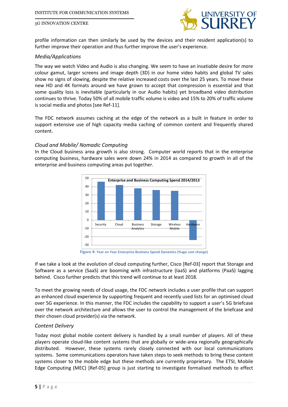

profile information can then similarly be used by the devices and their resident application(s) to further improve their operation and thus further improve the user's experience.

# *Media/Applications*

The way we watch Video and Audio is also changing. We seem to have an insatiable desire for more colour gamut, larger screens and image depth (3D) in our home video habits and global TV sales show no signs of slowing, despite the relative increased costs over the last 25 years. To move these new HD and 4K formats around we have grown to accept that compression is essential and that some quality loss is inevitable (particularly in our Audio habits) yet broadband video distribution continues to thrive. Today 50% of all mobile traffic volume is video and 15% to 20% of traffic volume is social media and photos [see [Ref-11\]](#page-25-5).

The FDC network assumes caching at the edge of the network as a built in feature in order to support extensive use of high capacity media caching of common content and frequently shared content.

# *Cloud and Mobile/ Nomadic Computing*

In the Cloud business area growth is also strong. Computer world reports that in the enterprise computing business, hardware sales were down 24% in 2014 as compared to growth in all of the enterprise and business computing areas put together.



**Figure 4: Year on Year Enterprise Business Spend Dynamics (%age cost change)**

If we take a look at the evolution of cloud computing further, Cisco [Ref-03] report that Storage and Software as a service (SaaS) are booming with infrastructure (IaaS) and platforms (PaaS) lagging behind. Cisco further predicts that this trend will continue to at least 2018.

To meet the growing needs of cloud usage, the FDC network includes a user profile that can support an enhanced cloud experience by supporting frequent and recently used lists for an optimised cloud over 5G experience. In this manner, the FDC includes the capability to support a user's 5G briefcase over the network architecture and allows the user to control the management of the briefcase and their chosen cloud provider(s) via the network.

# *Content Delivery*

Today most global mobile content delivery is handled by a small number of players. All of these players operate cloud-like content systems that are globally or wide-area regionally geographically distributed. However, these systems rarely closely connected with our local communications systems. Some communications operators have taken steps to seek methods to bring these content systems closer to the mobile edge but these methods are currently proprietary. The ETSI, Mobile Edge Computing (MEC) [Ref-05] group is just starting to investigate formalised methods to effect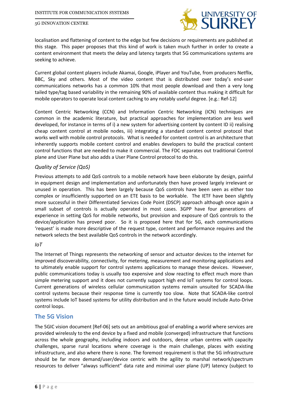

localisation and flattening of content to the edge but few decisions or requirements are published at this stage. This paper proposes that this kind of work is taken much further in order to create a content environment that meets the delay and latency targets that 5G communications systems are seeking to achieve.

Current global content players include Akamai, Google, iPlayer and YouTube, from producers Netflix, BBC, Sky and others. Most of the video content that is distributed over today's end-user communications networks has a common 10% that most people download and then a very long tailed type/tag based variability in the remaining 90% of available content thus making it difficult for mobile operators to operate local content caching to any notably useful degree. [e.g.[: Ref-12\]](#page-25-6)

Content Centric Networking (CCN) and Information Centric Networking (ICN) techniques are common in the academic literature, but practical approaches for implementation are less well developed, for instance in terms of i) a new system for advertising content by content ID ii) realising cheap content control at mobile nodes, iii) integrating a standard content control protocol that works well with mobile control protocols. What is needed for content control is an architecture that inherently supports mobile content control and enables developers to build the practical content control functions that are needed to make it commercial. The FDC separates out traditional Control plane and User Plane but also adds a User Plane Control protocol to do this.

# *Quality of Service (QoS)*

Previous attempts to add QoS controls to a mobile network have been elaborate by design, painful in equipment design and implementation and unfortunately then have proved largely irrelevant or unused in operation. This has been largely because QoS controls have been seen as either too complex or insufficiently supported on an ETE basis to be workable. The IETF have been slightly more successful in their Differentiated Services Code Point (DSCP) approach although once again a small subset of controls is actually operated in most cases. 3GPP have four generations of experience in setting QoS for mobile networks, but provision and exposure of QoS controls to the device/application has proved poor. So it is proposed here that for 5G, each communications 'request' is made more descriptive of the request type, content and performance requires and the network selects the best available QoS controls in the network accordingly.

#### *IoT*

The Internet of Things represents the networking of sensor and actuator devices to the internet for improved discoverability, connectivity, for metering, measurement and monitoring applications and to ultimately enable support for control systems applications to manage these devices. However, public communications today is usually too expensive and slow reacting to effect much more than simple metering support and it does not currently support high end IoT systems for control loops. Current generations of wireless cellular communication systems remain unsuited for SCADA-like control systems because their response time is currently too slow. Note that SCADA-like control systems include IoT based systems for utility distribution and in the future would include Auto-Drive control loops.

# **The 5G Vision**

The 5GIC vision document [Ref-06] sets out an ambitious goal of enabling a world where services are provided wirelessly to the end device by a fixed and mobile (converged) infrastructure that functions across the whole geography, including indoors and outdoors, dense urban centres with capacity challenges, sparse rural locations where coverage is the main challenge, places with existing infrastructure, and also where there is none. The foremost requirement is that the 5G infrastructure should be far more demand/user/device centric with the agility to marshal network/spectrum resources to deliver "always sufficient" data rate and minimal user plane (UP) latency (subject to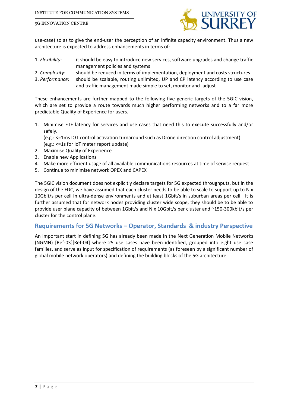

use-case) so as to give the end-user the perception of an infinite capacity environment. Thus a new architecture is expected to address enhancements in terms of:

- 1. *Flexibility*: it should be easy to introduce new services, software upgrades and change traffic management policies and systems
- 2. *Complexity*: should be reduced in terms of implementation, deployment and costs structures
- 3. *Performance:* should be scalable, routing unlimited, UP and CP latency according to use case and traffic management made simple to set, monitor and .adjust

These enhancements are further mapped to the following five generic targets of the 5GIC vision, which are set to provide a route towards much higher performing networks and to a far more predictable Quality of Experience for users.

1. Minimise ETE latency for services and use cases that need this to execute successfully and/or safely.

(e.g.: <=1ms IOT control activation turnaround such as Drone direction control adjustment) (e.g.: <=1s for IoT meter report update)

- 2. Maximise Quality of Experience
- 3. Enable new Applications
- 4. Make more efficient usage of all available communications resources at time of service request
- 5. Continue to minimise network OPEX and CAPEX

The 5GIC vision document does not explicitly declare targets for 5G expected throughputs, but in the design of the FDC, we have assumed that each cluster needs to be able to scale to support up to N x 10Gbit/s per cell in ultra-dense environments and at least 1Gbit/s in suburban areas per cell. It is further assumed that for network nodes providing cluster wide scope, they should be to be able to provide user plane capacity of between 1Gbit/s and N x 10Gbit/s per cluster and ~150-300kbit/s per cluster for the control plane.

# **Requirements for 5G Networks – Operator, Standards & industry Perspective**

An important start in defining 5G has already been made in the Next Generation Mobile Networks (NGMN) [Ref-03][Ref-04] where 25 use cases have been identified, grouped into eight use case families, and serve as input for specification of requirements (as foreseen by a significant number of global mobile network operators) and defining the building blocks of the 5G architecture.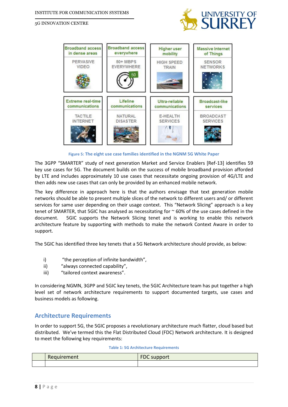



**Figure 5: The eight use case families identified in the NGNM 5G White Paper**

The 3GPP "SMARTER" study of next generation Market and Service Enablers [Ref-13] identifies 59 key use cases for 5G. The document builds on the success of mobile broadband provision afforded by LTE and includes approximately 10 use cases that necessitate ongoing provision of 4G/LTE and then adds new use cases that can only be provided by an enhanced mobile network.

The key difference in approach here is that the authors envisage that text generation mobile networks should be able to present multiple slices of the network to different users and/ or different services for same user depending on their usage context. This "Network Slicing" approach is a key tenet of SMARTER, that 5GIC has analysed as necessitating for  $\sim$  60% of the use cases defined in the document. 5GIC supports the Network Slicing tenet and is working to enable this network architecture feature by supporting with methods to make the network Context Aware in order to support.

The 5GIC has identified three key tenets that a 5G Network architecture should provide, as below:

- i) "the perception of infinite bandwidth",
- ii) "always connected capability",
- iii) "tailored context awareness".

In considering NGMN, 3GPP and 5GIC key tenets, the 5GIC Architecture team has put together a high level set of network architecture requirements to support documented targets, use cases and business models as following.

# **Architecture Requirements**

In order to support 5G, the 5GIC proposes a revolutionary architecture much flatter, cloud based but distributed. We've termed this the Flat Distributed Cloud (FDC) Network architecture. It is designed to meet the following key requirements:

|  |  |  |  | <b>Table 1: 5G Architecture Requirements</b> |
|--|--|--|--|----------------------------------------------|
|--|--|--|--|----------------------------------------------|

| .<br>Reguir<br>rement | $\overline{\phantom{a}}$ DC support |
|-----------------------|-------------------------------------|
|                       |                                     |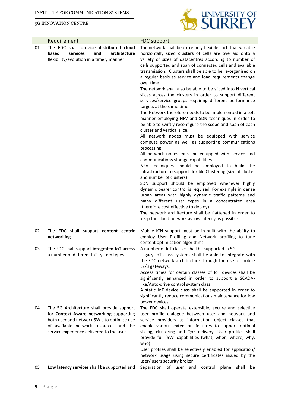

|    | Requirement                                                                                                                                                                                                               | <b>FDC</b> support                                                                                                                                                                                                                                                                                                                                                                                                                                                                                              |
|----|---------------------------------------------------------------------------------------------------------------------------------------------------------------------------------------------------------------------------|-----------------------------------------------------------------------------------------------------------------------------------------------------------------------------------------------------------------------------------------------------------------------------------------------------------------------------------------------------------------------------------------------------------------------------------------------------------------------------------------------------------------|
| 01 | The FDC shall provide distributed cloud<br>based<br>services<br>and<br>architecture<br>flexibility/evolution in a timely manner                                                                                           | The network shall be extremely flexible such that variable<br>horizontally sized clusters of cells are overlaid onto a<br>variety of sizes of datacentres according to number of<br>cells supported and span of connected cells and available<br>transmission. Clusters shall be able to be re-organised on<br>a regular basis as service and load requirements change<br>over time.<br>The network shall also be able to be sliced into N vertical<br>slices across the clusters in order to support different |
|    |                                                                                                                                                                                                                           | services/service groups requiring different performance<br>targets at the same time.<br>The Network therefore needs to be implemented in a soft<br>manner employing NFV and SDN techniques in order to<br>be able to swiftly reconfigure the scope and span of each<br>cluster and vertical slice.<br>All network nodes must be equipped with service                                                                                                                                                           |
|    |                                                                                                                                                                                                                           | compute power as well as supporting communications<br>processing.<br>All network nodes must be equipped with service and                                                                                                                                                                                                                                                                                                                                                                                        |
|    |                                                                                                                                                                                                                           | communications storage capabilities<br>NFV techniques should be employed to build the<br>infrastructure to support flexible Clustering (size of cluster<br>and number of clusters)                                                                                                                                                                                                                                                                                                                              |
|    |                                                                                                                                                                                                                           | SDN support should be employed whenever highly<br>dynamic bearer control is required. For example in dense<br>urban areas with highly dynamic traffic patterns and<br>many different user types in a concentrated area<br>(therefore cost effective to deploy)<br>The network architecture shall be flattened in order to                                                                                                                                                                                       |
|    |                                                                                                                                                                                                                           | keep the cloud network as low latency as possible                                                                                                                                                                                                                                                                                                                                                                                                                                                               |
| 02 | The FDC shall support content centric<br>networking                                                                                                                                                                       | Mobile ICN support must be in-built with the ability to<br>employ User Profiling and Network profiling to tune<br>content optimisation algorithms                                                                                                                                                                                                                                                                                                                                                               |
| 03 | The FDC shall support integrated IoT across<br>a number of different IoT system types.                                                                                                                                    | A number of IoT classes shall be supported in 5G.<br>Legacy IoT class systems shall be able to integrate with<br>the FDC network architecture through the use of mobile<br>L2/3 gateways.                                                                                                                                                                                                                                                                                                                       |
|    |                                                                                                                                                                                                                           | Access times for certain classes of IoT devices shall be<br>significantly enhanced in order to support a SCADA-<br>like/Auto-drive control system class.<br>A static IoT device class shall be supported in order to<br>significantly reduce communications maintenance for low<br>power devices.                                                                                                                                                                                                               |
| 04 | The 5G Architecture shall provide support<br>for Context Aware networking supporting<br>both user and network 5W's to optimise use<br>of available network resources and the<br>service experience delivered to the user. | The FDC shall operate extensible, secure and selective<br>user profile dialogue between user and network and<br>service providers as information object classes that<br>enable various extension features to support optimal<br>slicing, clustering and QoS delivery. User profiles shall<br>provide full '5W' capabilities (what, when, where, why,<br>who)                                                                                                                                                    |
|    |                                                                                                                                                                                                                           | User profiles shall be selectively enabled for application/<br>network usage using secure certificates issued by the<br>user/ users security broker                                                                                                                                                                                                                                                                                                                                                             |
| 05 | Low latency services shall be supported and                                                                                                                                                                               | Separation<br>shall<br>of<br>control<br>user<br>and<br>plane<br>be                                                                                                                                                                                                                                                                                                                                                                                                                                              |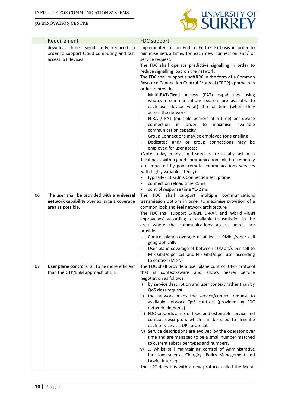

|    | Requirement                                   | FDC support                                                                                           |
|----|-----------------------------------------------|-------------------------------------------------------------------------------------------------------|
|    | download times significantly reduced in       | implemented on an End to End (ETE) basis in order to                                                  |
|    | order to support Cloud computing and fast     | minimise setup times for each new connection and/ or                                                  |
|    | access IoT devices                            | service request.                                                                                      |
|    |                                               | The FDC shall operate predictive signalling in order to                                               |
|    |                                               | reduce signalling load on the network.                                                                |
|    |                                               | The FDC shall support a softRRC in the form of a Common                                               |
|    |                                               | Resource Connection Control Protocol (CRCP) approach in                                               |
|    |                                               | order to provide:                                                                                     |
|    |                                               | Multi-RAT/Fixed Access (FAT) capabilities using                                                       |
|    |                                               | whatever communications bearers are available to                                                      |
|    |                                               | each user device (what) at each time (when) they<br>access the network.                               |
|    |                                               | N-RAT/ FAT (multiple bearers at a time) per device                                                    |
|    |                                               | in<br>order<br>maximise<br>available<br>connection<br>to                                              |
|    |                                               | communication capacity                                                                                |
|    |                                               | Group Connections may be employed for signalling                                                      |
|    |                                               | Dedicated and/ or group connections may be                                                            |
|    |                                               | employed for user access.                                                                             |
|    |                                               | (Note: today, many cloud services are usually fast on a                                               |
|    |                                               | local basis with a good communication link, but remotely                                              |
|    |                                               | are impacted by poor remote communications services                                                   |
|    |                                               | with highly variable latency)                                                                         |
|    |                                               | typically <10-30ms Connection setup time                                                              |
|    |                                               | connection reload time <5ms                                                                           |
|    |                                               | control response time ~1-2 ms<br>$\overline{\phantom{a}}$                                             |
| 06 | The user shall be provided with a universal   | The FDC shall<br>support multiple communications                                                      |
|    | network capability over as large a coverage   | transmission options in order to maximise provision of a<br>common look and feel network architecture |
|    | area as possible.                             | The FDC shall support C-RAN, D-RAN and hybrid -RAN                                                    |
|    |                                               | approaches) according to available transmission in the                                                |
|    |                                               | area where the communications access points are                                                       |
|    |                                               | provided.                                                                                             |
|    |                                               | Control plane coverage of at least 10Mbit/s per cell                                                  |
|    |                                               | geographically                                                                                        |
|    |                                               | User plane coverage of between 10Mbit/s per cell to                                                   |
|    |                                               | M x Gbit/s per cell and N x Gbit/s per user according                                                 |
|    |                                               | to context $(M > N)$                                                                                  |
| 07 | User plane control shall to be more efficient | The FDC shall provide a user plane control (UPc) protocol                                             |
|    | than the GTP/ESM approach of LTE.             | context-aware and allows bearer service<br>that is                                                    |
|    |                                               | negotiation as follows:<br>by service description and user context rather than by                     |
|    |                                               | i)<br>QoS class request                                                                               |
|    |                                               | the network maps the service/context request to<br>ii)                                                |
|    |                                               | available network QoS controls (provided by FDC                                                       |
|    |                                               | network elements)                                                                                     |
|    |                                               | iii) FDC supports a mix of fixed and extensible service and                                           |
|    |                                               | context descriptors which can be used to describe                                                     |
|    |                                               | each service as a UPc protocol.                                                                       |
|    |                                               | iv) Service descriptions are evolved by the operator over                                             |
|    |                                               | time and are managed to be a small number matched                                                     |
|    |                                               | to current subscriber types and numbers.                                                              |
|    |                                               | v)  whilst still maintaining control of Administrative                                                |
|    |                                               | functions such as Charging, Policy Management and                                                     |
|    |                                               | Lawful Intercept                                                                                      |
|    |                                               | The FDC does this with a new protocol called the Meta-                                                |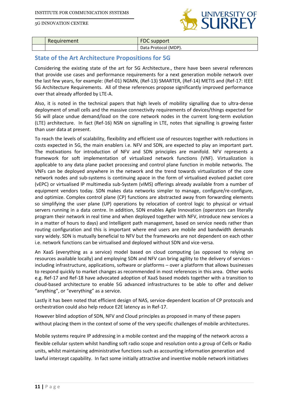

| Requirement | <b>FDC</b> support   |
|-------------|----------------------|
|             | Data Protocol (MDP). |

# **State of the Art Architecture Propositions for 5G**

Considering the existing state of the art for 5G Architecture., there have been several references that provide use cases and performance requirements for a next generation mobile network over the last few years, for example: (Ref-01) NGMN, (Ref-13) SMARTER, (Ref-14) METIS and (Ref-17: IEEE 5G Architecture Requirements. All of these references propose significantly improved performance over that already afforded by LTE-A.

Also, it is noted in the technical papers that high levels of mobility signalling due to ultra-dense deployment of small cells and the massive connectivity requirements of devices/things expected for 5G will place undue demand/load on the core network nodes in the current long-term evolution (LTE) architecture. In fact (Ref-16) NSN on signalling in LTE, notes that signalling is growing faster than user data at present.

To reach the levels of scalability, flexibility and efficient use of resources together with reductions in costs expected in 5G, the main enablers i.e. NFV and SDN, are expected to play an important part. The motivations for introduction of NFV and SDN principles are manifold. NFV represents a framework for soft implementation of virtualized network functions (VNF). Virtualization is applicable to any data plane packet processing and control plane function in mobile networks. The VNFs can be deployed anywhere in the network and the trend towards virtualization of the core network nodes and sub-systems is continuing apace in the form of virtualised evolved packet core (vEPC) or virtualised IP multimedia sub-System (vIMS) offerings already available from a number of equipment vendors today. SDN makes data networks simpler to manage, configure/re-configure, and optimize. Complex control plane (CP) functions are abstracted away from forwarding elements so simplifying the user plane (UP) operations by relocation of control logic to physical or virtual servers running in a data centre. In addition, SDN enables Agile Innovation (operators can literally program their network in real time and when deployed together with NFV, introduce new services a in a matter of hours to days) and Intelligent path management, based on service needs rather than routing configuration and this is important where end users are mobile and bandwidth demands vary widely. SDN is mutually beneficial to NFV but the frameworks are not dependent on each other i.e. network functions can be virtualised and deployed without SDN and vice-versa.

An XaaS (everything as a service) model based on cloud computing (as opposed to relying on resources available locally) and employing SDN and NFV can bring agility to the delivery of services including infrastructure, applications, software or platforms – over a platform that allows businesses to respond quickly to market changes as recommended in most references in this area. Other works e.g. Ref-17 and Ref-18 have advocated adoption of XaaS based models together with a transition to cloud-based architecture to enable 5G advanced infrastructures to be able to offer and deliver "anything", or "everything" as a service.

Lastly it has been noted that efficient design of NAS, service-dependent location of CP protocols and orchestration could also help reduce E2E latency as in Ref-17.

However blind adoption of SDN, NFV and Cloud principles as proposed in many of these papers without placing them in the context of some of the very specific challenges of mobile architectures.

Mobile systems require IP addressing in a mobile context and the mapping of the network across a flexible cellular system whilst handling soft radio scope and resolution onto a group of Cells or Radio units, whilst maintaining administrative functions such as accounting information generation and lawful intercept capability. In fact some initially attractive and inventive mobile network initiatives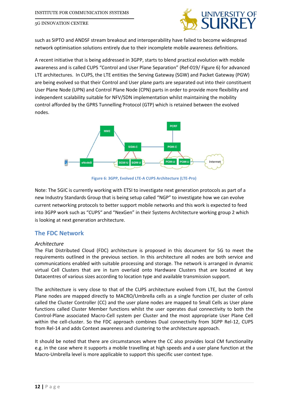

such as SIPTO and ANDSF stream breakout and interoperability have failed to become widespread network optimisation solutions entirely due to their incomplete mobile awareness definitions.

A recent initiative that is being addressed in 3GPP, starts to blend practical evolution with mobile awareness and is called CUPS "Control and User Plane Separation" (Ref-019/ [Figure 6\)](#page-11-0) for advanced LTE architectures. In CUPS, the LTE entities the Serving Gateway (SGW) and Packet Gateway (PGW) are being evolved so that their Control and User plane parts are separated out into their constituent User Plane Node (UPN) and Control Plane Node (CPN) parts in order to provide more flexibility and independent scalability suitable for NFV/SDN implementation whilst maintaining the mobility control afforded by the GPRS Tunnelling Protocol (GTP) which is retained between the evolved nodes.



**Figure 6: 3GPP, Evolved LTE-A CUPS Architecture (LTE-Pro)**

<span id="page-11-0"></span>Note: The 5GIC is currently working with ETSI to investigate next generation protocols as part of a new Industry Standards Group that is being setup called "NGP" to investigate how we can evolve current networking protocols to better support mobile networks and this work is expected to feed into 3GPP work such as "CUPS" and "NexGen" in their Systems Architecture working group 2 which is looking at next generation architecture.

# **The FDC Network**

# *Architecture*

The Flat Distributed Cloud (FDC) architecture is proposed in this document for 5G to meet the requirements outlined in the previous section. In this architecture all nodes are both service and communications enabled with suitable processing and storage. The network is arranged in dynamic virtual Cell Clusters that are in turn overlaid onto Hardware Clusters that are located at key Datacentres of various sizes according to location type and available transmission support.

The architecture is very close to that of the CUPS architecture evolved from LTE, but the Control Plane nodes are mapped directly to MACRO/Umbrella cells as a single function per cluster of cells called the Cluster Controller (CC) and the user plane nodes are mapped to Small Cells as User plane functions called Cluster Member functions whilst the user operates dual connectivity to both the Control-Plane associated Macro-Cell system per Cluster and the most appropriate User Plane Cell within the cell-cluster. So the FDC approach combines Dual connectivity from 3GPP Rel-12, CUPS from Rel-14 and adds Context awareness and clustering to the architecture approach.

It should be noted that there are circumstances where the CC also provides local CM functionality e.g. in the case where it supports a mobile travelling at high speeds and a user plane function at the Macro-Umbrella level is more applicable to support this specific user context type.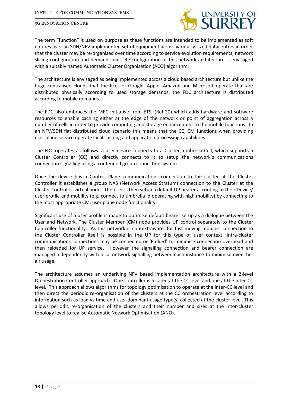

The term "function" is used on purpose as these functions are intended to be implemented as soft entities over an SDN/NFV implemented set of equipment across variously sized datacentres in order that the cluster may be re-organised over time according to service evolution requirements, network slicing configuration and demand load. Re-configuration of this network architecture is envisaged with a suitably named Automatic Cluster Organisation (ACO) algorithm.

The architecture is envisaged as being implemented across a cloud based architecture but unlike the huge centralised clouds that the likes of Google, Apple, Amazon and Microsoft operate that are distributed physically according to used storage demands, the FDC architecture is distributed according to mobile demands.

The FDC also embraces the MEC initiative from ETSI (Ref-20) which adds hardware and software resources to enable caching either at the edge of the network or point of aggregation across a number of cells in order to provide computing and storage enhancement to the mobile functions. In an NFV/SDN flat distributed cloud scenario this means that the CC, CM functions when providing user plane service operate local caching and application processing capabilities.

The FDC operates as follows: a user device connects to a Cluster, umbrella Cell, which supports a Cluster Controller (CC) and directly connects to it to setup the network's communications connection signalling using a contended group connection system.

Once the device has a Control Plane communications connection to the cluster at the Cluster Controller it establishes a group NAS (Network Access Stratum) connection to the Cluster at the Cluster Controller virtual node. The user is then setup a default UP bearer according to their Device/ user profile and mobility (e.g. connect to umbrella id operating with high mobility) by connecting to the most appropriate CM, user plane node functionality.

Significant use of a user profile is made to optimise default bearer setup as a dialogue between the User and Network. The Cluster Member (CM) node provides UP control separately to the Cluster Controller functionality. As this network is context-aware, for fast moving mobiles, connection to the Cluster Controller itself is possible in the UP for this type of user context. Intra-cluster communications connections may be connected or 'Parked' to minimise connection overhead and then reloaded for UP service. However the signalling connection and bearer connection are managed independently with local network signalling between each instance to minimise over-theair usage.

The architecture assumes an underlying NFV based implementation architecture with a 2-level Orchestration Controller approach. One controller is located at the CC level and one at the inter-CC level. This approach allows algorithms for topology optimisation to operate at the inter-CC level and then direct the periodic re-organisation of the clusters at the CC orchestration level according to information such as load vs time and user dominant usage type(s) collected at the cluster level. This allows periodic re-organisation of the clusters and their number and sizes at the inter-cluster topology level to realise Automatic Network Optimisation (ANO).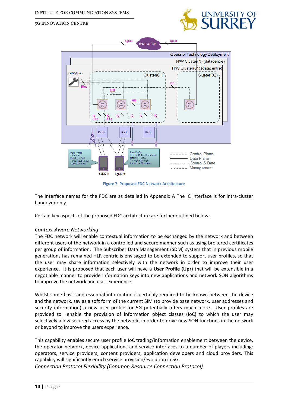



**Figure 7: Proposed FDC Network Architecture**

The Interface names for the FDC are as detailed in Appendix A The iC interface is for intra-cluster handover only.

Certain key aspects of the proposed FDC architecture are further outlined below:

# *Context Aware Networking*

The FDC network will enable contextual information to be exchanged by the network and between different users of the network in a controlled and secure manner such as using brokered certificates per group of information. The Subscriber Data Management (SDM) system that in previous mobile generations has remained HLR centric is envisaged to be extended to support user profiles, so that the user may share information selectively with the network in order to improve their user experience. It is proposed that each user will have a **User Profile (Upr)** that will be extensible in a negotiable manner to provide information keys into new applications and network SON algorithms to improve the network and user experience.

Whilst some basic and essential information is certainly required to be known between the device and the network, say as a soft form of the current SIM (to provide base network, user addresses and security information) a new user profile for 5G potentially offers much more. User profiles are provided to enable the provision of information object classes (IoC) to which the user may selectively allow secured access by the network, in order to drive new SON functions in the network or beyond to improve the users experience.

This capability enables secure user profile IoC trading/information enablement between the device, the operator network, device applications and service interfaces to a number of players including: operators, service providers, content providers, application developers and cloud providers. This capability will significantly enrich service provision/evolution in 5G.

*Connection Protocol Flexibility (Common Resource Connection Protocol)*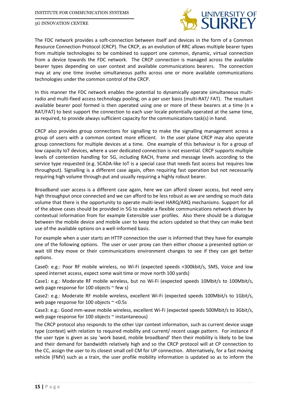

The FDC network provides a soft-connection between itself and devices in the form of a Common Resource Connection Protocol (CRCP). The CRCP, as an evolution of RRC allows multiple bearer types from multiple technologies to be combined to support one common, dynamic, virtual connection from a device towards the FDC network. The CRCP connection is managed across the available bearer types depending on user context and available communications bearers. The connection may at any one time involve simultaneous paths across one or more available communications technologies under the common control of the CRCP.

In this manner the FDC network enables the potential to dynamically operate simultaneous multiradio and multi-fixed access technology pooling, on a per user basis (multi-RAT/ FAT). The resultant available bearer pool formed is then operated using one or more of these bearers at a time (n x RAT/FAT) to best support the connection to each user locale potentially operated at the same time, as required, to provide always sufficient capacity for the communications task(s) in hand.

CRCP also provides group connections for signalling to make the signalling management across a group of users with a common context more efficient. In the user plane CRCP may also operate group connections for multiple devices at a time. One example of this behaviour is for a group of low capacity IoT devices, where a user dedicated connection is not essential. CRCP supports multiple levels of contention handling for 5G, including RACH, frame and message levels according to the service type requested (e.g. SCADA-like IoT is a special case that needs fast access but requires low throughput). Signalling is a different case again, often requiring fast operation but not necessarily requiring high volume through-put and usually requiring a highly robust bearer.

Broadband user access is a different case again, here we can afford slower access, but need very high throughput once connected and we can afford to be less robust as we are sending so much data volume that there is the opportunity to operate multi-level HARQ/ARQ mechanisms. Support for all of the above cases should be provided in 5G to enable a flexible communications network driven by contextual information from for example Extensible user profiles. Also there should be a dialogue between the mobile device and mobile user to keep the actors updated so that they can make best use of the available options on a well-informed basis.

For example when a user starts an HTTP connection the user is informed that they have for example one of the following options. The user or user proxy can then either choose a presented option or wait till they move or their communications environment changes to see if they can get better options.

Case0: e.g.: Poor RF mobile wireless, no Wi-Fi (expected speeds <300kbit/s, SMS, Voice and low speed internet access, expect some wait time or move north 100 yards)

Case1: e.g.: Moderate RF mobile wireless, but no Wi-Fi (expected speeds 10Mbit/s to 100Mbit/s, web page response for 100 objects  $\sim$  few s)

Case2: e.g.: Moderate RF mobile wireless, excellent Wi-Fi (expected speeds 100Mbit/s to 1Gbit/s, web page response for 100 objects  $\sim$  <0.5s

Case3: e.g.: Good mm-wave mobile wireless, excellent Wi-Fi (expected speeds 500Mbit/s to 3Gbit/s, web page response for 100 objects ~ instantaneous)

The CRCP protocol also responds to the other Upr context information, such as current device usage type (context) with relation to required mobility and current/ recent usage pattern. For instance if the user type is given as say 'work based, mobile broadband' then their mobility is likely to be low and their demand for bandwidth relatively high and so the CRCP protocol will at CP connection to the CC, assign the user to its closest small cell CM for UP connection. Alternatively, for a fast moving vehicle (FMV) such as a train, the user profile mobility information is updated so as to inform the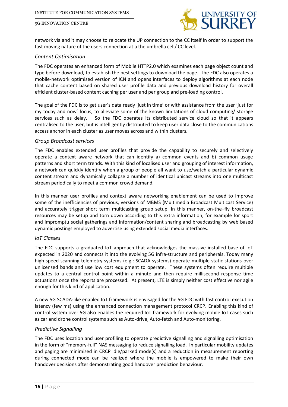

network via and it may choose to relocate the UP connection to the CC itself in order to support the fast moving nature of the users connection at a the umbrella cell/ CC level.

### *Content Optimisation*

The FDC operates an enhanced form of Mobile HTTP2.0 which examines each page object count and type before download, to establish the best settings to download the page. The FDC also operates a mobile-network optimised version of ICN and opens interfaces to deploy algorithms at each node that cache content based on shared user profile data and previous download history for overall efficient cluster-based content caching per user and per group and pre-loading control.

The goal of the FDC is to get user's data ready 'just in time' or with assistance from the user 'just for my today and now' focus, to alleviate some of the known limitations of cloud computing/ storage services such as delay. So the FDC operates its distributed service cloud so that it appears centralised to the user, but is intelligently distributed to keep user data close to the communications access anchor in each cluster as user moves across and within clusters.

#### *Group Broadcast services*

The FDC enables extended user profiles that provide the capability to securely and selectively operate a context aware network that can identify a) common events and b) common usage patterns and short term trends. With this kind of localised user and grouping of interest information, a network can quickly identify when a group of people all want to use/watch a particular dynamic content stream and dynamically collapse a number of identical unicast streams into one multicast stream periodically to meet a common crowd demand.

In this manner user profiles and context aware networking enablement can be used to improve some of the inefficiencies of previous, versions of MBMS (Multimedia Broadcast Multicast Service) and accurately trigger short term multicasting group setup. In this manner, on-the–fly broadcast resources may be setup and torn down according to this extra information, for example for sport and impromptu social gatherings and information/content sharing and broadcasting by web based dynamic postings employed to advertise using extended social media interfaces.

#### *IoT Classes*

The FDC supports a graduated IoT approach that acknowledges the massive installed base of IoT expected in 2020 and connects it into the evolving 5G infra-structure and peripherals. Today many high speed scanning telemetry systems (e.g.: SCADA systems) operate multiple static stations over unlicensed bands and use low cost equipment to operate. These systems often require multiple updates to a central control point within a minute and then require millisecond response time actuations once the reports are processed. At present, LTE is simply neither cost effective nor agile enough for this kind of application.

A new 5G SCADA-like enabled IoT framework is envisaged for the 5G FDC with fast control execution latency (few ms) using the enhanced connection management protocol CRCP. Enabling this kind of control system over 5G also enables the required IoT framework for evolving mobile IoT cases such as car and drone control systems such as Auto-drive, Auto-fetch and Auto-monitoring.

# *Predictive Signalling*

The FDC uses location and user profiling to operate predictive signalling and signalling optimisation in the form of "memory-full" NAS messaging to reduce signalling load. In particular mobility updates and paging are minimised in CRCP idle/parked mode(s) and a reduction in measurement reporting during connected mode can be realized where the mobile is empowered to make their own handover decisions after demonstrating good handover prediction behaviour.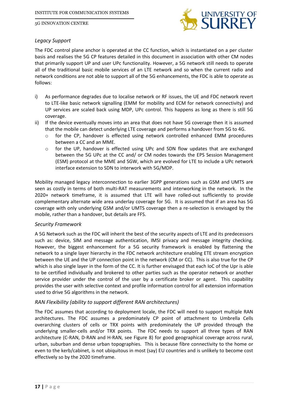

# *Legacy Support*

The FDC control plane anchor is operated at the CC function, which is instantiated on a per cluster basis and realises the 5G CP features detailed in this document in association with other CM nodes that primarily support UP and user UPc functionality. However, a 5G network still needs to operate all of the traditional basic mobile services of an LTE network and so when the current radio and network conditions are not able to support all of the 5G enhancements, the FDC is able to operate as follows:

- i) As performance degrades due to localise network or RF issues, the UE and FDC network revert to LTE-like basic network signalling (EMM for mobility and ECM for network connectivity) and UP services are scaled back using MDP, UPc control. This happens as long as there is still 5G coverage.
- ii) If the device eventually moves into an area that does not have 5G coverage then it is assumed that the mobile can detect underlying LTE coverage and performs a handover from 5G to 4G.
	- $\circ$  for the CP, handover is effected using network controlled enhanced EMM procedures between a CC and an MME.
	- o for the UP, handover is effected using UPc and SDN flow updates that are exchanged between the 5G UPc at the CC and/ or CM nodes towards the EPS Session Management (ESM) protocol at the MME and SGW, which are evolved for LTE to include a UPc network interface extension to SDN to interwork with 5G/MDP.

Mobility managed legacy interconnection to earlier 3GPP generations such as GSM and UMTS are seen as costly in terms of both multi-RAT measurements and interworking in the network. In the 2020+ network timeframe, it is assumed that LTE will have rolled-out sufficiently to provide complementary alternate wide area underlay coverage for 5G. It is assumed that if an area has 5G coverage with only underlying GSM and/or UMTS coverage then a re-selection is envisaged by the mobile, rather than a handover, but details are FFS.

# *Security Framework*

A 5G Network such as the FDC will inherit the best of the security aspects of LTE and its predecessors such as: device, SIM and message authentication, IMSI privacy and message integrity checking. However, the biggest enhancement for a 5G security framework is enabled by flattening the network to a single layer hierarchy in the FDC network architecture enabling ETE stream encryption between the UE and the UP connection point in the network (CM or CC). This is also true for the CP which is also single layer in the form of the CC. It is further envisaged that each IoC of the Upr is able to be certified individually and brokered to other parties such as the operator network or another service provider under the control of the user by a certificate broker or agent. This capability provides the user with selective context and profile information control for all extension information used to drive 5G algorithms in the network.

# *RAN Flexibility (ability to support different RAN architectures)*

The FDC assumes that according to deployment locale, the FDC will need to support multiple RAN architectures. The FDC assumes a predominately CP point of attachment to Umbrella Cells overarching clusters of cells or TRX points with predominately the UP provided through the underlying smaller-cells and/or TRX points. The FDC needs to support all three types of RAN architecture (C-RAN, D-RAN and H-RAN, see [Figure 8\)](#page-17-0) for good geographical coverage across rural, urban, suburban and dense urban topographies. This is because fibre connectivity to the home or even to the kerb/cabinet, is not ubiquitous in most (say) EU countries and is unlikely to become cost effectively so by the 2020 timeframe.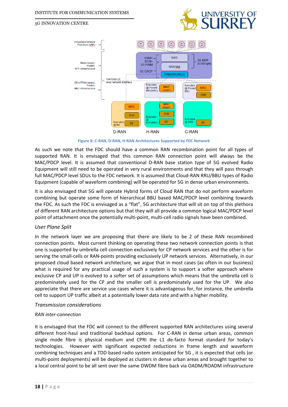



**Figure 8: C-RAN, D-RAN, H-RAN Architectures Supported by FDC Network**

<span id="page-17-0"></span>As such we note that the FDC should have a common RAN recombination point for all types of supported RAN. It is envisaged that this common RAN connection point will always be the MAC/PDCP level. It is assumed that conventional D-RAN base station type of 5G evolved Radio Equipment will still need to be operated in very rural environments and that they will pass through full MAC/PDCP level SDUs to the FDC network. It is assumed that Cloud-RAN RRU/BBU types of Radio Equipment (capable of waveform combining) will be operated for 5G in dense urban environments.

It is also envisaged that 5G will operate Hybrid forms of Cloud RAN that do not perform waveform combining but operate some form of hierarchical BBU based MAC/PDCP level combining towards the FDC. As such the FDC is envisaged as a "flat", 5G architecture that will sit on top of this plethora of different RAN architecture options but that they will all provide a common logical MAC/PDCP level point of attachment once the potentially multi-point, multi-cell radio signals have been combined.

# *User Plane Split*

In the network layer we are proposing that there are likely to be 2 of these RAN recombined connection points. Most current thinking on operating these two network connection points is that one is supported by umbrella cell connection exclusively for CP network services and the other is for serving the small-cells or RAN-points providing exclusively UP network services. Alternatively, in our proposed cloud based network architecture, we argue that in most cases (as often in our business) what is required for any practical usage of such a system is to support a softer approach where exclusive CP and UP is evolved to a softer set of assumptions which means that the umbrella cell is predominately used for the CP and the smaller cell is predominately used for the UP. We also appreciate that there are service use cases where it is advantageous for, for instance, the umbrella cell to support UP traffic albeit at a potentially lower data rate and with a higher mobility.

# *Transmission considerations*

# *RAN inter-connection*

It is envisaged that the FDC will connect to the different supported RAN architectures using several different front-haul and traditional backhaul options. For C-RAN in dense urban areas, common single mode fibre is physical medium and CPRI the L1 de-facto format standard for today's technologies. However with significant expected reductions in frame length and waveform combining techniques and a TDD based radio system anticipated for 5G , it is expected that cells (or multi-point deployments) will be deployed as clusters in dense urban areas and brought together to a local central point to be all sent over the same DWDM fibre back via OADM/ROADM infrastructure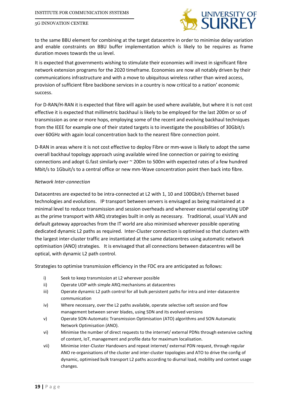

to the same BBU element for combining at the target datacentre in order to minimise delay variation and enable constraints on BBU buffer implementation which is likely to be requires as frame duration moves towards the us level.

It is expected that governments wishing to stimulate their economies will invest in significant fibre network extension programs for the 2020 timeframe. Economies are now all notably driven by their communications infrastructure and with a move to ubiquitous wireless rather than wired access, provision of sufficient fibre backbone services in a country is now critical to a nation' economic success.

For D-RAN/H-RAN it is expected that fibre will again be used where available, but where it is not cost effective it is expected that millimetric backhaul is likely to be employed for the last 200m or so of transmission as one or more hops, employing some of the recent and evolving backhaul techniques from the IEEE for example one of their stated targets is to investigate the possibilities of 30Gbit/s over 60GHz with again local concentration back to the nearest fibre connection point.

D-RAN in areas where it is not cost effective to deploy Fibre or mm-wave is likely to adopt the same overall backhaul topology approach using available wired line connection or pairing to existing connections and adopt G.fast similarly over ~ 200m to 500m with expected rates of a few hundred Mbit/s to 1Gbuit/s to a central office or new mm-Wave concentration point then back into fibre.

#### *Network Inter-connection*

Datacentres are expected to be intra-connected at L2 with 1, 10 and 100Gbit/s Ethernet based technologies and evolutions. IP transport between servers is envisaged as being maintained at a minimal level to reduce transmission and session overheads and wherever essential operating UDP as the prime transport with ARQ strategies built in only as necessary. Traditional, usual VLAN and default gateway approaches from the IT world are also minimised wherever possible operating dedicated dynamic L2 paths as required. Inter-Cluster connection is optimised so that clusters with the largest inter-cluster traffic are instantiated at the same datacentres using automatic network optimisation (ANO) strategies. It is envisaged that all connections between datacentres will be optical, with dynamic L2 path control.

Strategies to optimise transmission efficiency in the FDC era are anticipated as follows:

- i) Seek to keep transmission at L2 wherever possible
- ii) Operate UDP with simple ARQ mechanisms at datacentres
- iii) Operate dynamic L2 path control for all bulk persistent paths for intra and inter-datacentre communication
- iv) Where necessary, over the L2 paths available, operate selective soft session and flow management between server blades, using SDN and its evolved versions
- v) Operate SON-Automatic Transmission Optimisation (ATO) algorithms and SON Automatic Network Optimisation (ANO).
- vi) Minimise the number of direct requests to the internet/ external PDNs through extensive caching of content, IoT, management and profile data for maximum localisation.
- vii) Minimise inter-Cluster Handovers and repeat internet/ external PDN request, through regular ANO re-organisations of the cluster and inter-cluster topologies and ATO to drive the config of dynamic, optimised bulk transport L2 paths according to diurnal load, mobility and context usage changes.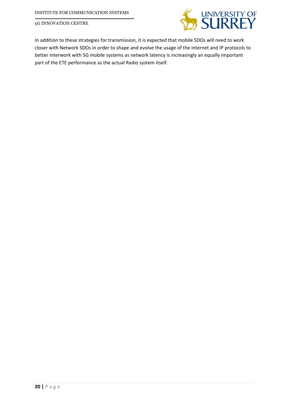

In addition to these strategies for transmission, it is expected that mobile SDOs will need to work closer with Network SDOs in order to shape and evolve the usage of the internet and IP protocols to better interwork with 5G mobile systems as network latency is increasingly an equally important part of the ETE performance as the actual Radio system itself.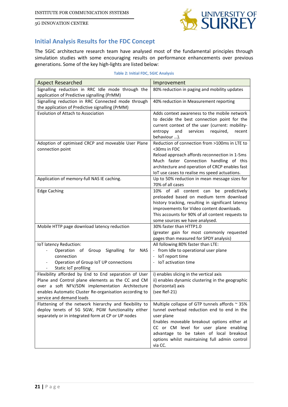

# **Initial Analysis Results for the FDC Concept**

The 5GIC architecture research team have analysed most of the fundamental principles through simulation studies with some encouraging results on performance enhancements over previous generations. Some of the key high-lights are listed below:

|  |  | <b>Table 2: Initial FDC, 5GIC Analysis</b> |
|--|--|--------------------------------------------|
|  |  |                                            |

| <b>Aspect Researched</b>                                                                                                                                                                                                                            | Improvement                                                                                                                                                                                                                                                                                                 |
|-----------------------------------------------------------------------------------------------------------------------------------------------------------------------------------------------------------------------------------------------------|-------------------------------------------------------------------------------------------------------------------------------------------------------------------------------------------------------------------------------------------------------------------------------------------------------------|
| Signalling reduction in RRC Idle mode through the<br>application of Predictive signalling (PrMM)                                                                                                                                                    | 80% reduction in paging and mobility updates                                                                                                                                                                                                                                                                |
| Signalling reduction in RRC Connected mode through<br>the application of Predictive signalling (PrMM)                                                                                                                                               | 40% reduction in Measurement reporting                                                                                                                                                                                                                                                                      |
| Evolution of Attach to Association                                                                                                                                                                                                                  | Adds context awareness to the mobile network<br>to decide the best connection point for the<br>current context of the user (current: mobility-<br>entropy<br>and<br>services<br>required,<br>recent<br>behaviour ).                                                                                         |
| Adoption of optimised CRCP and moveable User Plane<br>connection point                                                                                                                                                                              | Reduction of connection from >100ms in LTE to<br><30ms in FDC<br>Reload approach affords reconnection in 1-5ms<br>Much faster Connection handling of this<br>architecture and operation of CRCP enables fast<br>IoT use cases to realise ms speed actuations.                                               |
| Application of memory-full NAS IE caching.                                                                                                                                                                                                          | Up to 50% reduction in mean message sizes for<br>70% of all cases                                                                                                                                                                                                                                           |
| <b>Edge Caching</b>                                                                                                                                                                                                                                 | 10% of all content can<br>be predictively<br>preloaded based on medium term download<br>history tracking, resulting in significant latency<br>improvements for Video content downloads.<br>This accounts for 90% of all content requests to<br>some sources we have analysed.                               |
| Mobile HTTP page download latency reduction                                                                                                                                                                                                         | 30% faster than HTTP1.0<br>(greater gain for most commonly requested<br>pages than measured for SPDY analysis)                                                                                                                                                                                              |
| IoT latency Reduction:<br>Operation of Group Signalling<br><b>NAS</b><br>for<br>connection<br>Operation of Group IoT UP connections<br>Static IoT profiling                                                                                         | All following 80% faster than LTE:<br>- from Idle to operational user plane<br>loT report time<br><b>IoT</b> activation time                                                                                                                                                                                |
| Flexibility afforded by End to End separation of User<br>Plane and Control plane elements as the CC and CM<br>over a soft NFV/SDN implementation Architecture<br>enables Automatic Cluster Re-organisation according to<br>service and demand loads | i) enables slicing in the vertical axis<br>ii) enables dynamic clustering in the geographic<br>(horizontal) axis<br>(see Ref-21)                                                                                                                                                                            |
| Flattening of the network hierarchy and flexibility to<br>deploy tenets of 5G SGW, PGW functionality either<br>separately or in integrated form at CP or UP nodes                                                                                   | Multiple collapse of GTP tunnels affords ~ 35%<br>tunnel overhead reduction end to end in the<br>user plane<br>Enables moveable breakout options either at<br>CC or CM level for user plane enabling<br>advantage to be taken of local breakout<br>options whilst maintaining full admin control<br>via CC. |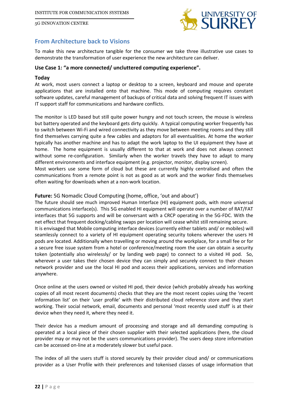

# **From Architecture back to Visions**

To make this new architecture tangible for the consumer we take three illustrative use cases to demonstrate the transformation of user experience the new architecture can deliver.

# **Use Case 1: "a more connected/ uncluttered computing experience".**

# **Today**

At work, most users connect a laptop or desktop to a screen, keyboard and mouse and operate applications that are installed onto that machine. This mode of computing requires constant software updates, careful management of backups of critical data and solving frequent IT issues with IT support staff for communications and hardware conflicts.

The monitor is LED based but still quite power hungry and not touch screen, the mouse is wireless but battery operated and the keyboard gets dirty quickly. A typical computing worker frequently has to switch between Wi-Fi and wired connectivity as they move between meeting rooms and they still find themselves carrying quite a few cables and adaptors for all eventualities. At home the worker typically has another machine and has to adapt the work laptop to the UI equipment they have at home. The home equipment is usually different to that at work and does not always connect without some re-configuration. Similarly when the worker travels they have to adapt to many different environments and interface equipment (e.g. projector, monitor, display screen).

Most workers use some form of cloud but these are currently highly centralised and often the communications from a remote point is not as good as at work and the worker finds themselves often waiting for downloads when at a non-work location.

# **Future:** 5G Nomadic Cloud Computing (home, office, 'out and about')

The future should see much improved Human Interface (HI) equipment pods, with more universal communications interface(s). This 5G enabled HI equipment will operate over a number of RAT/FAT interfaces that 5G supports and will be conversant with a CRCP operating in the 5G-FDC. With the net effect that frequent docking/cabling swaps per location will cease whilst still remaining secure. It is envisaged that Mobile computing interface devices (currently either tablets and/ or mobiles) will seamlessly connect to a variety of HI equipment operating security tokens wherever the users HI pods are located. Additionally when travelling or moving around the workplace, for a small fee or for a secure free issue system from a hotel or conference/meeting room the user can obtain a security token (potentially also wirelessly/ or by landing web page) to connect to a visited HI pod. So, wherever a user takes their chosen device they can simply and securely connect to their chosen network provider and use the local HI pod and access their applications, services and information anywhere.

Once online at the users owned or visited HI pod, their device (which probably already has working copies of all most recent documents) checks that they are the most recent copies using the 'recent information list' on their 'user profile' with their distributed cloud reference store and they start working. Their social network, email, documents and personal 'most recently used stuff' is at their device when they need it, where they need it.

Their device has a medium amount of processing and storage and all demanding computing is operated at a local piece of their chosen supplier with their selected applications (here, the cloud provider may or may not be the users communications provider). The users deep store information can be accessed on-line at a moderately slower but useful pace.

The index of all the users stuff is stored securely by their provider cloud and/ or communications provider as a User Profile with their preferences and tokenised classes of usage information that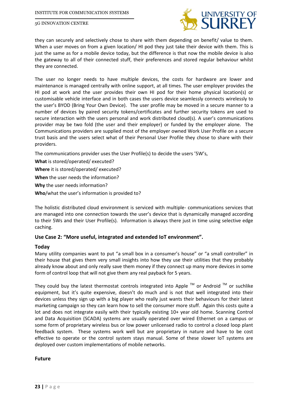

they can securely and selectively chose to share with them depending on benefit/ value to them. When a user moves on from a given location/ HI pod they just take their device with them. This is just the same as for a mobile device today, but the difference is that now the mobile device is also the gateway to all of their connected stuff, their preferences and stored regular behaviour whilst they are connected.

The user no longer needs to have multiple devices, the costs for hardware are lower and maintenance is managed centrally with online support, at all times. The user employer provides the HI pod at work and the user provides their own HI pod for their home physical location(s) or customisable vehicle interface and in both cases the users device seamlessly connects wirelessly to the user's BYOD (Bring Your Own Device). The user profile may be moved in a secure manner to a number of devices by paired security tokens/certificates and further security tokens are used to secure interaction with the users personal and work distributed cloud(s). A user's communications provider may be two fold (the user and their employer) or funded by the employer alone. The Communications providers are supplied most of the employer owned Work User Profile on a secure trust basis and the users select what of their Personal User Profile they chose to share with their providers.

The communications provider uses the User Profile(s) to decide the users '5W's,

**What** is stored/operated/ executed?

**Where** it is stored/operated/ executed?

**When** the user needs the information?

**Why** the user needs information?

**Who**/what the user's information is provided to?

The holistic distributed cloud environment is serviced with multiple- communications services that are managed into one connection towards the user's device that is dynamically managed according to their 5Ws and their User Profile(s). Information is always there just in time using selective edge caching.

# **Use Case 2: "More useful, integrated and extended IoT environment".**

# **Today**

Many utility companies want to put "a small box in a consumer's house" or "a small controller" in their house that gives them very small insights into how they use their utilities that they probably already know about and only really save them money if they connect up many more devices in some form of control loop that will not give them any real payback for 5 years.

They could buy the latest thermostat controls integrated into Apple  $TM$  or Android  $TM$  or suchlike equipment, but it's quite expensive, doesn't do much and is not that well integrated into their devices unless they sign up with a big player who really just wants their behaviours for their latest marketing campaign so they can learn how to sell the consumer more stuff. Again this costs quite a lot and does not integrate easily with their typically existing 10+ year old home. Scanning Control and Data Acquisition (SCADA) systems are usually operated over wired Ethernet on a campus or some form of proprietary wireless bus or low power unlicensed radio to control a closed loop plant feedback system. These systems work well but are proprietary in nature and have to be cost effective to operate or the control system stays manual. Some of these slower IoT systems are deployed over custom implementations of mobile networks.

#### **Future**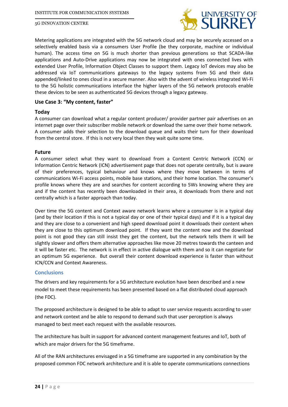

Metering applications are integrated with the 5G network cloud and may be securely accessed on a selectively enabled basis via a consumers User Profile (be they corporate, machine or individual human). The access time on 5G is much shorter than previous generations so that SCADA-like applications and Auto-Drive applications may now be integrated with ones connected lives with extended User Profile, Information Object Classes to support them. Legacy IoT devices may also be addressed via IoT communications gateways to the legacy systems from 5G and their data appended/linked to ones cloud in a secure manner. Also with the advent of wireless integrated Wi-Fi to the 5G holistic communications interface the higher layers of the 5G network protocols enable these devices to be seen as authenticated 5G devices through a legacy gateway.

# **Use Case 3: "My content, faster"**

### **Today**

A consumer can download what a regular content producer/ provider partner pair advertises on an internet page over their subscriber mobile network or download the same over their home network. A consumer adds their selection to the download queue and waits their turn for their download from the central store. If this is not very local then they wait quite some time.

### **Future**

A consumer select what they want to download from a Content Centric Network (CCN) or Information Centric Network (ICN) advertisement page that does not operate centrally, but is aware of their preferences, typical behaviour and knows where they move between in terms of communications Wi-Fi access points, mobile base stations, and their home location. The consumer's profile knows where they are and searches for content according to 5Ws knowing where they are and if the content has recently been downloaded in their area, it downloads from there and not centrally which is a faster approach than today.

Over time the 5G content and Context aware network learns where a consumer is in a typical day (and by their location if this is not a typical day or one of their typical days) and if it is a typical day and they are close to a convenient and high speed download point it downloads their content when they are close to this optimum download point. If they want the content now and the download point is not good they can still insist they get the content, but the network tells them it will be slightly slower and offers them alternative approaches like move 20 metres towards the canteen and it will be faster etc. The network is in effect in active dialogue with them and so it can negotiate for an optimum 5G experience. But overall their content download experience is faster than without ICN/CCN and Context Awareness.

#### **Conclusions**

The drivers and key requirements for a 5G architecture evolution have been described and a new model to meet these requirements has been presented based on a flat distributed cloud approach (the FDC).

The proposed architecture is designed to be able to adapt to user service requests according to user and network context and be able to respond to demand such that user perception is always managed to best meet each request with the available resources.

The architecture has built in support for advanced content management features and IoT, both of which are major drivers for the 5G timeframe.

All of the RAN architectures envisaged in a 5G timeframe are supported in any combination by the proposed common FDC network architecture and it is able to operate communications connections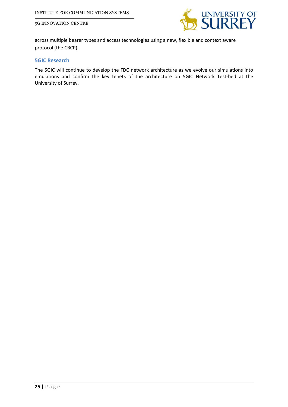

across multiple bearer types and access technologies using a new, flexible and context aware protocol (the CRCP).

# **5GIC Research**

The 5GIC will continue to develop the FDC network architecture as we evolve our simulations into emulations and confirm the key tenets of the architecture on 5GIC Network Test-bed at the University of Surrey.